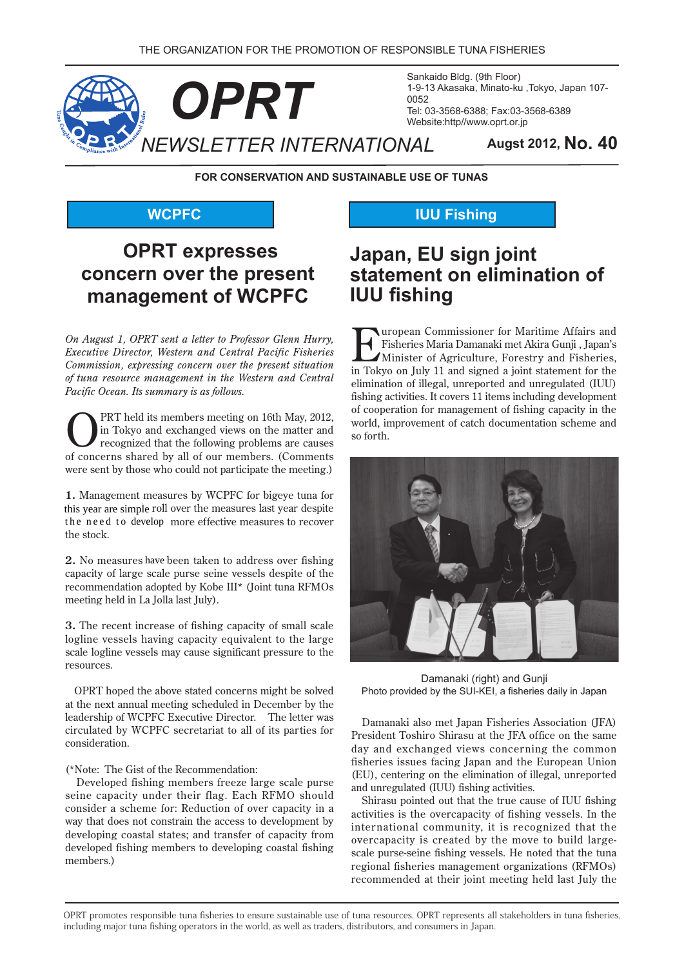

Sankaido Bldg. (9th Floor) 1-9-13 Akasaka, Minato-ku, Tokyo, Japan 107-Tel: 03-3568-6388; Fax: 03-3568-6389 Website:http//www.oprt.or.jp

**FOR CONSERVATION AND SUSTAINABLE USE OF TUNAS** 

#### **WCPFC**

# **OPRT** expresses concern over the present management of WCPFC

*On August 1, OPRT sent a letter to Professor Glenn Hurry, Executive Director, Western and Central Pacific Fisheries Commission, expressing concern over the present situation of tuna resource management in the Western and Central Pacific Ocean. Its summary is as follows.* 

**2012,** PRT held its members meeting on 16th May, 2012, in Tokyo and exchanged views on the matter and recognized that the following problems are causes in Tokyo and exchanged views on the matter and of concerns shared by all of our members. (Comments were sent by those who could not participate the meeting.)

1. Management measures by WCPFC for bigeye tuna for this year are simple roll over the measures last year despite the need to develop more effective measures to recover the stock. find the measures to recover the stock.<br>The stock.<br>**2.** No measures have been taken to address over fishing

capacity of large scale purse seine vessels despite of the recommendation adopted by Kobe  $III^*$  (Joint tuna RFMOs meeting held in La Jolla last July).

**3.** The recent increase of fishing capacity of small scale logline vessels having capacity equivalent to the large scale logline vessels may cause significant pressure to the .resources

OPRT hoped the above stated concerns might be solved at the next annual meeting scheduled in December by the leadership of WCPFC Executive Director. The letter was circulated by WCPFC secretariat to all of its parties for .consideration

#### (\*Note: The Gist of the Recommendation:

Developed fishing members freeze large scale purse seine capacity under their flag. Each RFMO should consider a scheme for: Reduction of over capacity in a way that does not constrain the access to development by developing coastal states; and transfer of capacity from developed fishing members to developing coastal fishing members.)

### **IUU Fishing**

## **Japan, EU sign joint statement on elimination of fishing IUU**

Turopean Commissioner for Maritime Affairs and<br>
Minister of Agriculture, Forestry and Fisheries,<br>
in Teluy on July 11 and signed a joint statement for the Fisheries Maria Damanaki met Akira Gunji , Japan's  $\blacktriangle$ Minister of Agriculture, Forestry and Fisheries, in Tokyo on July 11 and signed a joint statement for the elimination of illegal, unreported and unregulated (IUU) fishing activities. It covers 11 items including development of cooperation for management of fishing capacity in the world, improvement of catch documentation scheme and so forth.



Damanaki (right) and Gunji Photo provided by the SUI-KEI, a fisheries daily in Japan

Damanaki also met Japan Fisheries Association (JFA) President Toshiro Shirasu at the JFA office on the same day and exchanged views concerning the common fisheries issues facing Japan and the European Union (EU), centering on the elimination of illegal, unreported and unregulated (IUU) fishing activities.

Shirasu pointed out that the true cause of IUU fishing activities is the overcapacity of fishing vessels. In the international community, it is recognized that the scale purse-seine fishing vessels. He noted that the tunaovercapacity is created by the move to build largeregional fisheries management organizations (RFMOs) recommended at their joint meeting held last July the

OPRT promotes responsible tuna fisheries to ensure sustainable use of tuna resources. OPRT represents all stakeholders in tuna fisheries, including major tuna fishing operators in the world, as well as traders, distributors, and consumers in Japan.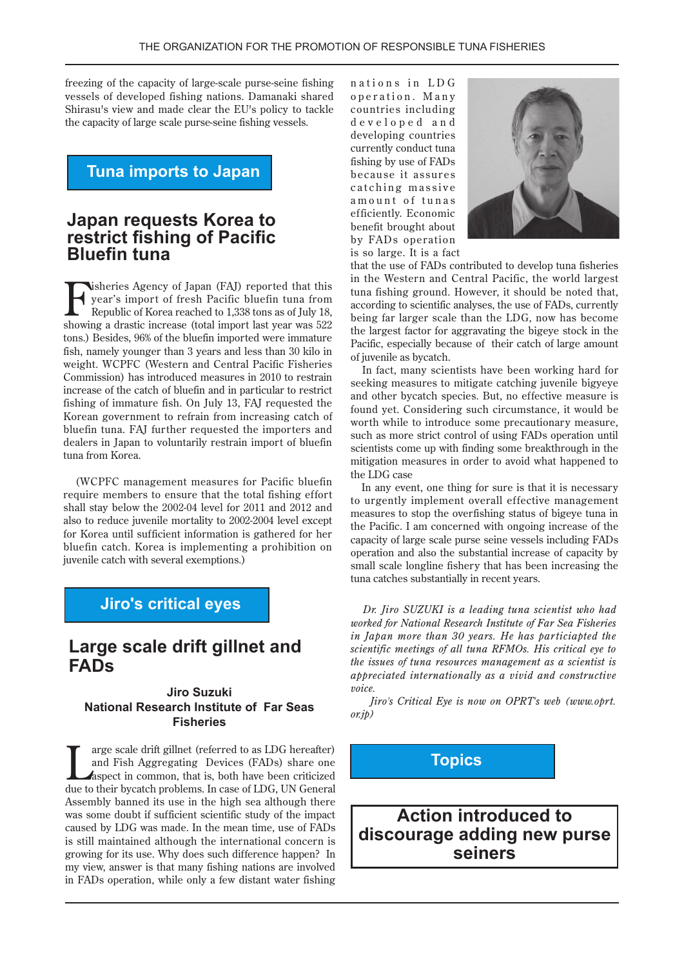freezing of the capacity of large-scale purse-seine fishing vessels of developed fishing nations. Damanaki shared Shirasu's view and made clear the EU's policy to tackle the capacity of large scale purse-seine fishing vessels.

**Tuna imports to Japan** 

#### **Japan requests Korea to restrict fishing of Pacific Bluefin** tuna

**that reports**<br>**the Figure 3** import of fresh Pacific bluefin tuna from<br>Republic of Korea reached to 1,338 tons as of July 18,<br>chaving a drastic increase (total import lest year was 522) year's import of fresh Pacific bluefin tuna from Republic of Korea reached to 1,338 tons as of July 18, showing a drastic increase (total import last year was  $522$ ) tons.) Besides, 96% of the bluefin imported were immature fish, namely younger than 3 years and less than 30 kilo in weight. WCPFC (Western and Central Pacific Fisheries Commission) has introduced measures in 2010 to restrain increase of the catch of bluefin and in particular to restrict fishing of immature fish. On July 13, FAJ requested the Korean government to refrain from increasing catch of bluefin tuna. FAJ further requested the importers and dealers in Japan to voluntarily restrain import of bluefin tuna from Korea.

(WCPFC management measures for Pacific bluefin require members to ensure that the total fishing effort shall stay below the 2002-04 level for 2011 and 2012 and also to reduce juvenile mortality to 2002-2004 level except for Korea until sufficient information is gathered for her bluefin catch. Korea is implementing a prohibition on juvenile catch with several exemptions.)

#### **Jiro's critical eyes**

### **Large scale drift gillnet and FADs**

#### **Suzuki Jiro National Research Institute of Far Seas Fisheries**

The arge scale drift gillnet (referred to as LDG hereafter)<br>and Fish Aggregating Devices (FADs) share one<br>aspect in common, that is, both have been criticized<br>due to their hypotoh problems. In good of LDC, LIN Goneral and Fish Aggregating Devices (FADs) share one Aspect in common, that is, both have been criticized due to their bycatch problems. In case of LDG, UN General Assembly banned its use in the high sea although there was some doubt if sufficient scientific study of the impact caused by LDG was made. In the mean time, use of FADs is still maintained although the international concern is growing for its use. Why does such difference happen? In my view, answer is that many fishing nations are involved in FADs operation, while only a few distant water fishing

nations in LDG operation. Many countries including developed and developing countries currently conduct tuna fishing by use of FADs because it assures catching massive amount of tunas efficiently. Economic benefit brought about by FADs operation is so large. It is a fact



that the use of FADs contributed to develop tuna fisheries in the Western and Central Pacific, the world largest tuna fishing ground. However, it should be noted that, according to scientific analyses, the use of FADs, currently being far larger scale than the LDG, now has become the largest factor for aggravating the bigeye stock in the Pacific, especially because of their catch of large amount of juvenile as bycatch.

In fact, many scientists have been working hard for seeking measures to mitigate catching juvenile bigyeye and other bycatch species. But, no effective measure is found yet. Considering such circumstance, it would be worth while to introduce some precautionary measure. such as more strict control of using FADs operation until scientists come up with finding some breakthrough in the mitigation measures in order to avoid what happened to the LDG case

In any event, one thing for sure is that it is necessary to urgently implement overall effective management measures to stop the overfishing status of bigeye tuna in the Pacific. I am concerned with ongoing increase of the capacity of large scale purse seine vessels including FADs operation and also the substantial increase of capacity by small scale longline fishery that has been increasing the tuna catches substantially in recent years.

*Dr. Jiro SUZUKI is a leading tuna scientist who had worked for National Research Institute of Far Sea Fisheries in Japan more than 30 years. He has particiapted the scientific meetings of all tuna RFMOs. His critical eve to the issues of tuna resources management as a scientist is appreciated internationally as a vivid and constructive .voice*

*Jiro's Critical Eye is now on OPRT's web (www.oprt.*  $(x,ip)$ 

### **Topics**

**Action introduced to discourage adding new purse seiners**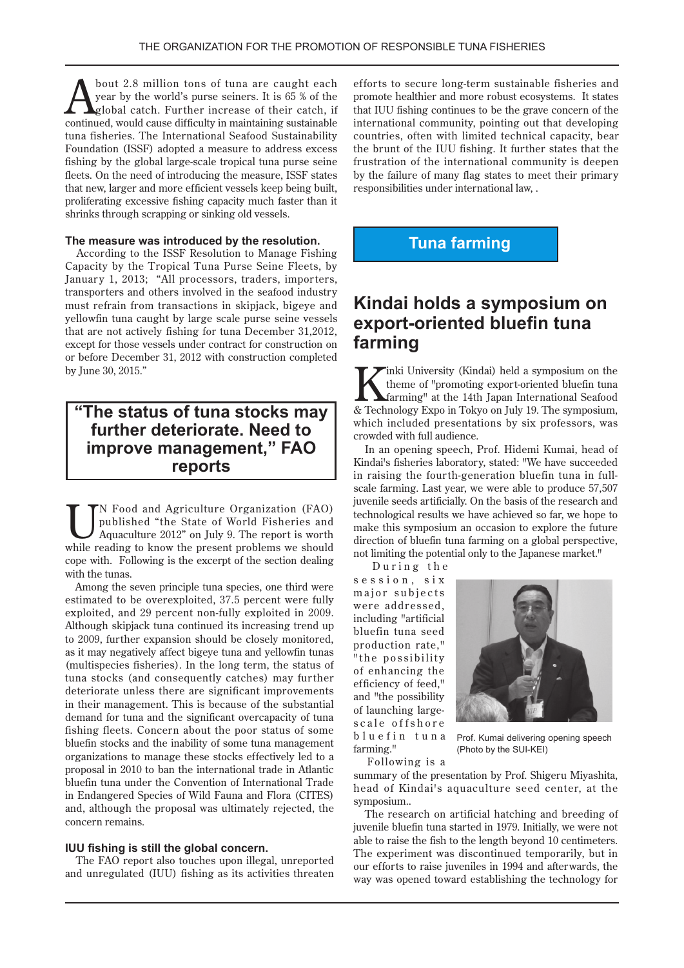**Example 1** bout 2.8 million tons of tuna are caught each year by the world's purse seiners. It is 65 % of the global catch. Further increase of their catch, if year by the world's purse seiners. It is 65 % of the global catch. Further increase of their catch, if continued, would cause difficulty in maintaining sustainable tuna fisheries. The International Seafood Sustainability Foundation (ISSF) adopted a measure to address excess fishing by the global large-scale tropical tuna purse seine fleets. On the need of introducing the measure. ISSF states that new, larger and more efficient vessels keep being built, proliferating excessive fishing capacity much faster than it shrinks through scrapping or sinking old vessels.

#### The measure was introduced by the resolution.

According to the ISSF Resolution to Manage Fishing Capacity by the Tropical Tuna Purse Seine Fleets, by January 1, 2013; "All processors, traders, importers, transporters and others involved in the seafood industry must refrain from transactions in skipjack, bigeye and yellowfin tuna caught by large scale purse seine vessels that are not actively fishing for tuna December 31,2012, except for those vessels under contract for construction on or before December 31, 2012 with construction completed by June 30, 2015."

#### **"The status of tuna stocks may further deteriorate. Need to improve management," FAO reports**

U PN Food and Agriculture Organization (FAO)<br>
published "the State of World Fisheries and<br>
Aquaculture 2012" on July 9. The report is worth<br>
while reeding to lrow the present problems we should published "the State of World Fisheries and while reading to know the present problems we should cope with. Following is the excerpt of the section dealing. with the tunas.

Among the seven principle tuna species, one third were estimated to be overexploited, 37.5 percent were fully exploited, and 29 percent non-fully exploited in 2009. Although skipjack tuna continued its increasing trend up to 2009, further expansion should be closely monitored, as it may negatively affect bigeye tuna and yellowfin tunas (multispecies fisheries). In the long term, the status of tuna stocks (and consequently catches) may further deteriorate unless there are significant improvements in their management. This is because of the substantial demand for tuna and the significant overcapacity of tuna fishing fleets. Concern about the poor status of some bluefin stocks and the inability of some tuna management organizations to manage these stocks effectively led to a proposal in 2010 to ban the international trade in Atlantic bluefin tuna under the Convention of International Trade in Endangered Species of Wild Fauna and Flora (CITES) and, although the proposal was ultimately rejected, the concern remains.

#### **IUU fishing is still the global concern.**

The FAO report also touches upon illegal, unreported and unregulated (IUU) fishing as its activities threaten efforts to secure long-term sustainable fisheries and promote healthier and more robust ecosystems. It states that IUU fishing continues to be the grave concern of the international community, pointing out that developing countries, often with limited technical capacity, bear the brunt of the IUU fishing. It further states that the frustration of the international community is deepen by the failure of many flag states to meet their primary responsibilities under international law, .

### **Tuna farming**

### **Kindai holds a symposium on export-oriented bluefin tuna farming**

 $\blacktriangleright$ inki University (Kindai) held a symposium on the theme of "promoting export-oriented bluefin tuna Starming" at the 14th Japan International Seafood & Technology Expo in Tokyo on July 19. The symposium, which included presentations by six professors, was crowded with full audience.

In an opening speech, Prof. Hidemi Kumai, head of Kindai's fisheries laboratory, stated: "We have succeeded scale farming. Last year, we were able to produce 57,507 in raising the fourth-generation bluefin tuna in fulljuvenile seeds artificially. On the basis of the research and technological results we have achieved so far, we hope to make this symposium an occasion to explore the future direction of bluefin tuna farming on a global perspective, not limiting the potential only to the Japanese market."

During the

session, six major subjects were addressed, including "artificial bluefin tuna seed production rate," "the possibility of enhancing the efficiency of feed," and "the possibility scale offshore of launching largebluefin tuna farming."



Prof. Kumai delivering opening speech (Photo by the SUI-KEI)

Following is a summary of the presentation by Prof. Shigeru Miyashita, head of Kindai's aquaculture seed center, at the symposium...

The research on artificial hatching and breeding of juvenile bluefin tuna started in 1979. Initially, we were not able to raise the fish to the length beyond 10 centimeters. The experiment was discontinued temporarily, but in our efforts to raise juveniles in 1994 and afterwards, the way was opened toward establishing the technology for